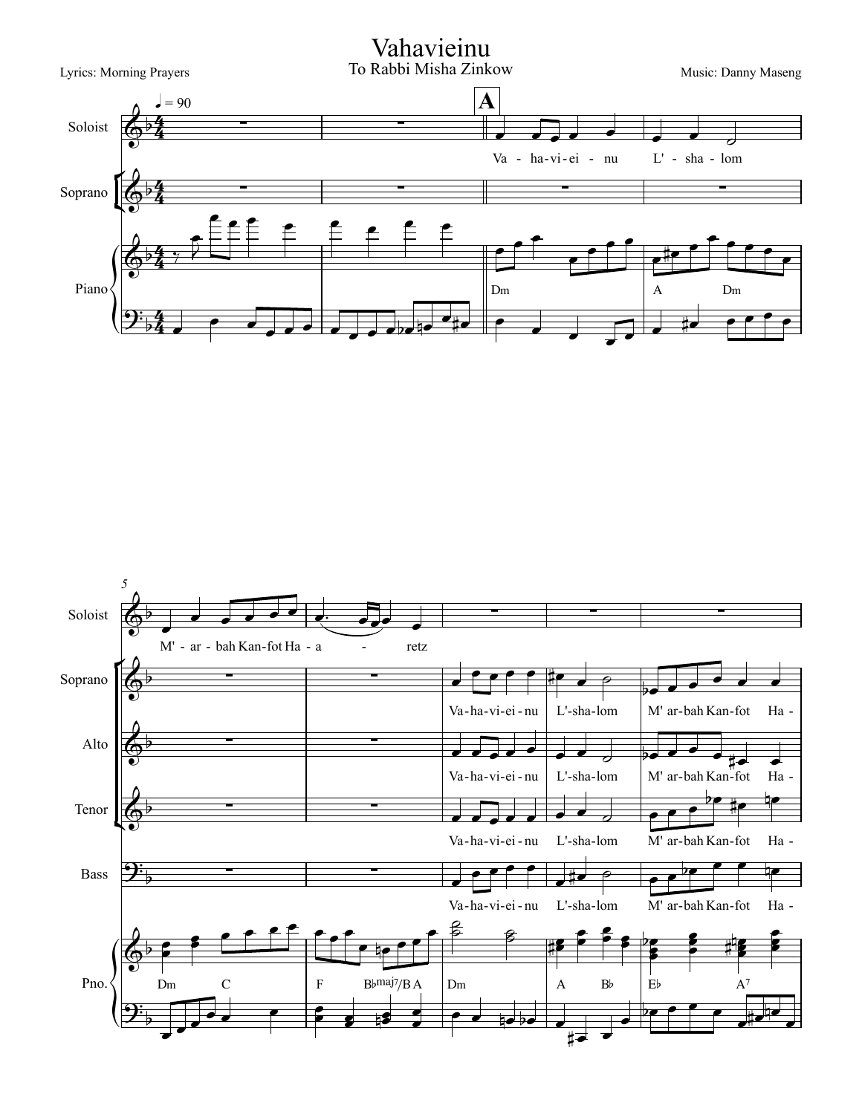

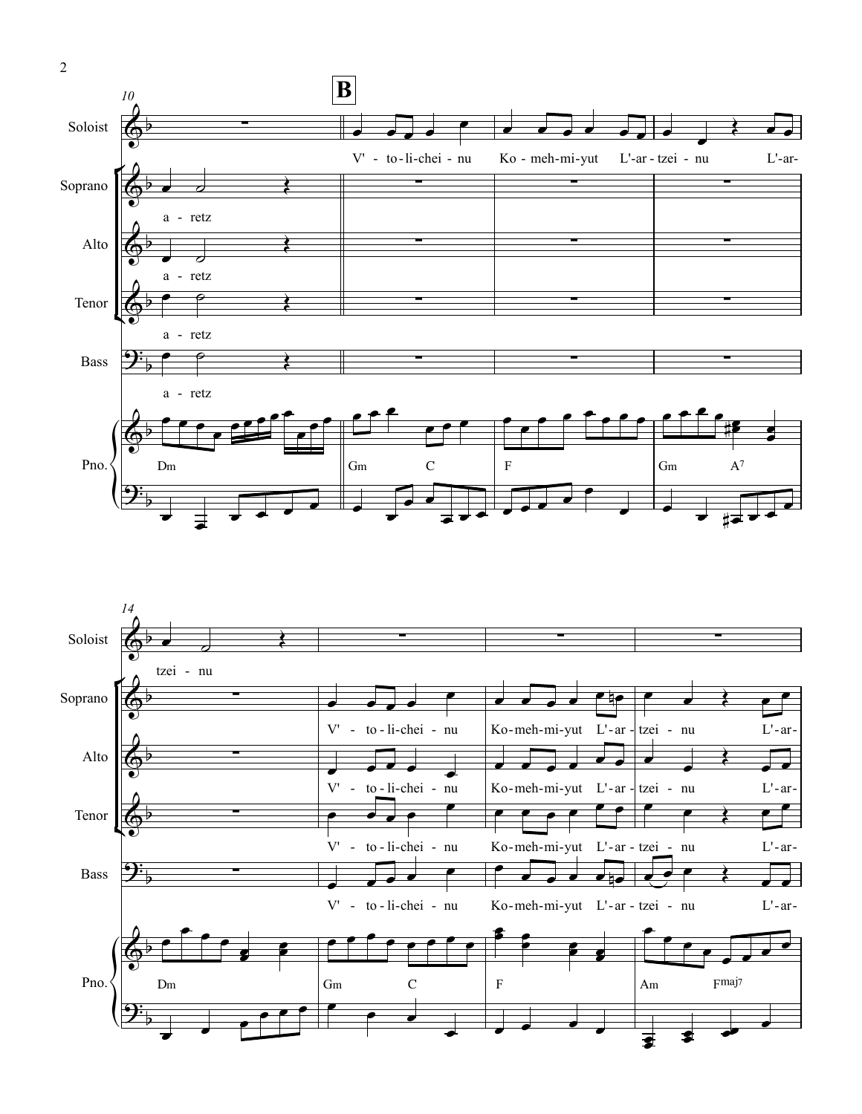



2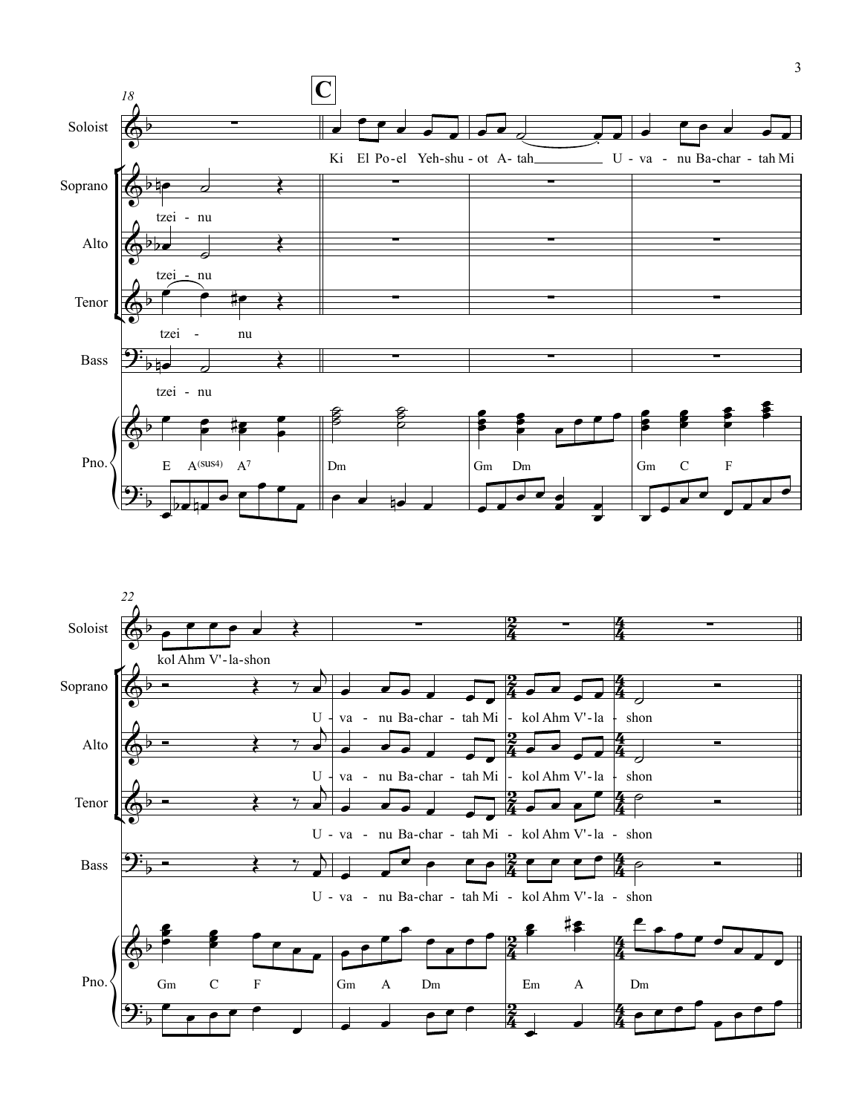

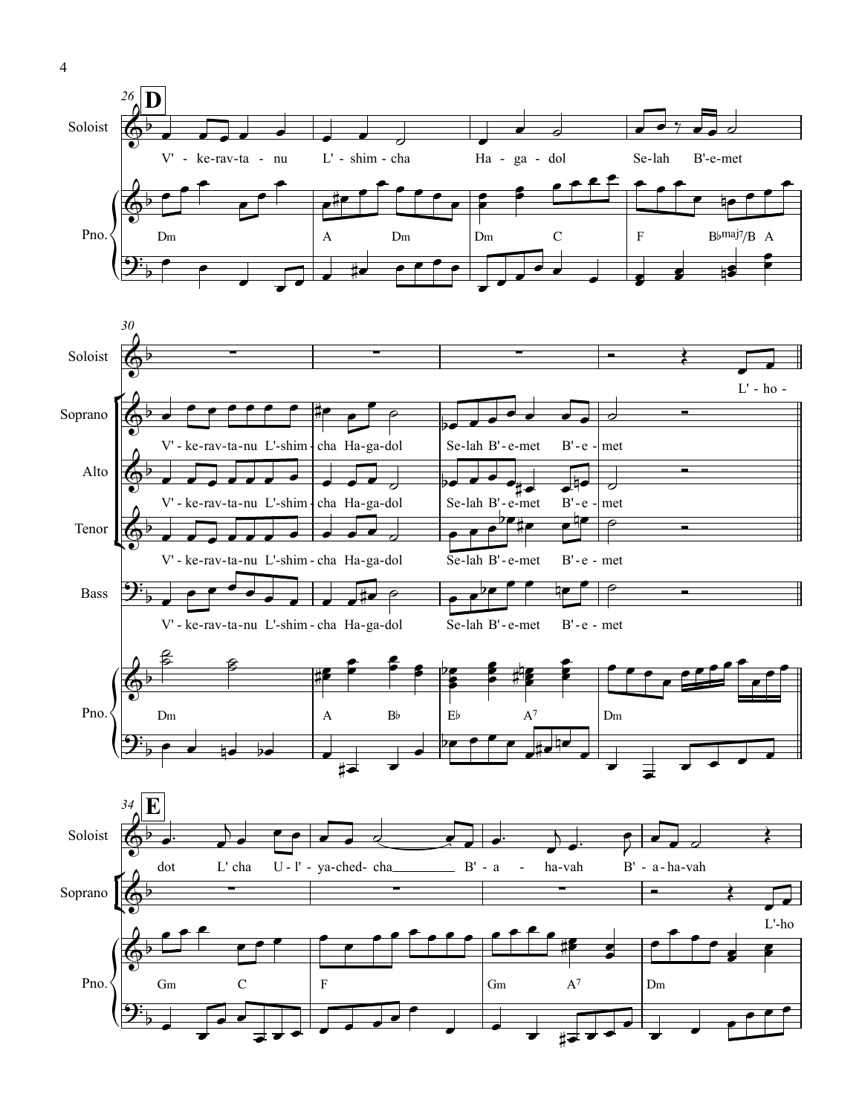

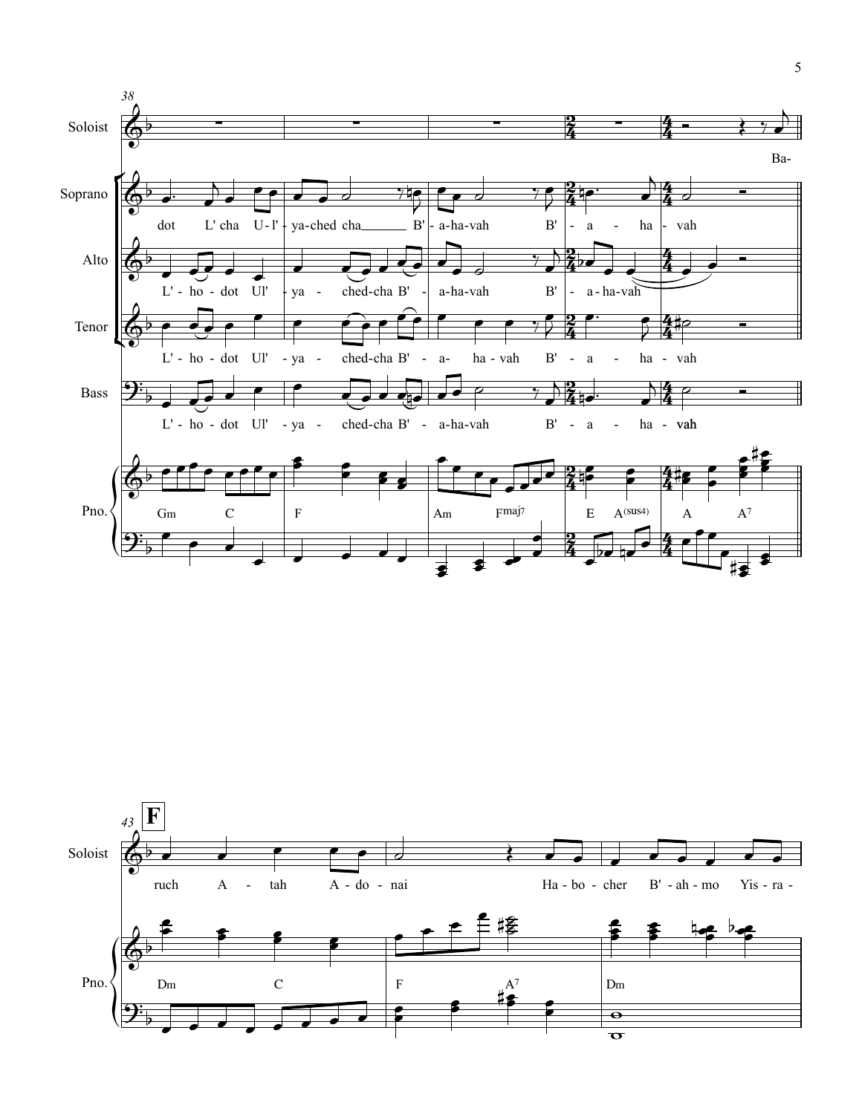